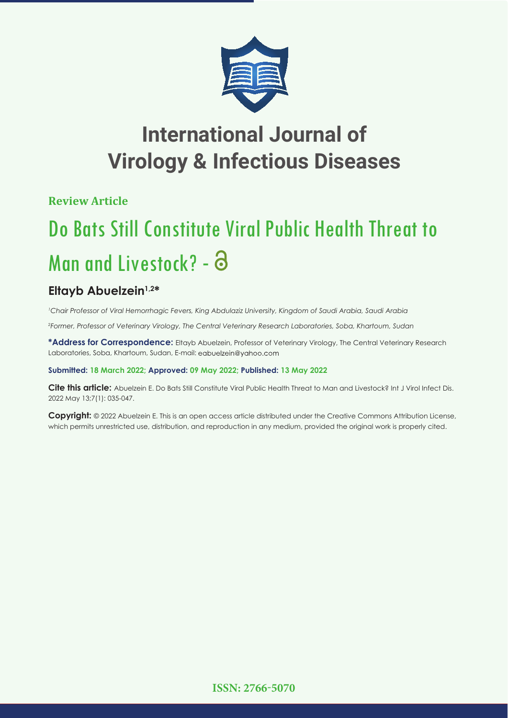

# **International Journal of Virology & Infectious Diseases**

**Review Article**

# Do Bats Still Constitute Viral Public Health Threat to Man and Livestock? - a

## **Eltayb Abuelzein1,2\***

*1 Chair Professor of Viral Hemorrhagic Fevers, King Abdulaziz University, Kingdom of Saudi Arabia, Saudi Arabia*

*2 Former, Professor of Veterinary Virology, The Central Veterinary Research Laboratories, Soba, Khartoum, Sudan*

**\*Address for Correspondence:** Eltayb Abuelzein, Professor of Veterinary Virology, The Central Veterinary Research Laboratories, Soba, Khartoum, Sudan, E-mail: eabuelzein@yahoo.com

## **Submitted: 18 March 2022; Approved: 09 May 2022; Published: 13 May 2022**

**Cite this article:** Abuelzein E. Do Bats Still Constitute Viral Public Health Threat to Man and Livestock? Int J Virol Infect Dis. 2022 May 13;7(1): 035-047.

**Copyright:** © 2022 Abuelzein E. This is an open access article distributed under the Creative Commons Attribution License, which permits unrestricted use, distribution, and reproduction in any medium, provided the original work is properly cited.

**ISSN: 2766-5070**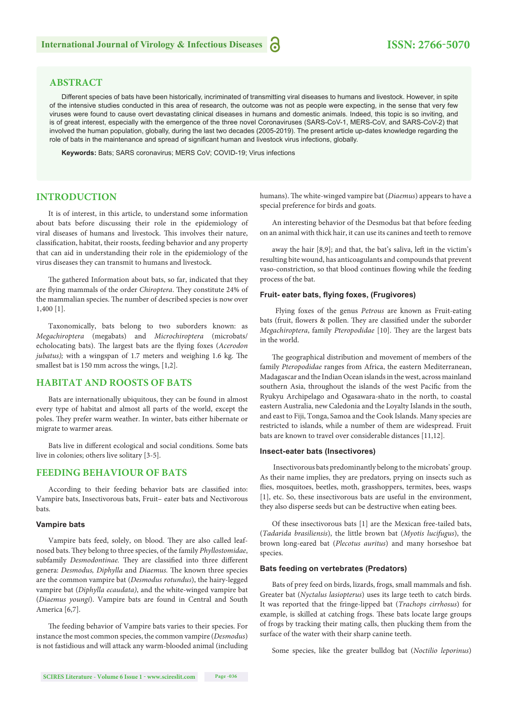## **ISSN: 2766-5070**

## **ABSTRACT**

Different species of bats have been historically, incriminated of transmitting viral diseases to humans and livestock. However, in spite of the intensive studies conducted in this area of research, the outcome was not as people were expecting, in the sense that very few viruses were found to cause overt devastating clinical diseases in humans and domestic animals. Indeed, this topic is so inviting, and is of great interest, especially with the emergence of the three novel Coronaviruses (SARS-CoV-1, MERS-CoV, and SARS-CoV-2) that involved the human population, globally, during the last two decades (2005-2019). The present article up-dates knowledge regarding the role of bats in the maintenance and spread of significant human and livestock virus infections, globally.

**Keywords:** Bats; SARS coronavirus; MERS CoV; COVID-19; Virus infections

## **INTRODUCTION**

It is of interest, in this article, to understand some information about bats before discussing their role in the epidemiology of viral diseases of humans and livestock. This involves their nature, classification, habitat, their roosts, feeding behavior and any property that can aid in understanding their role in the epidemiology of the virus diseases they can transmit to humans and livestock.

The gathered Information about bats, so far, indicated that they are flying mammals of the order *Chiroptera*. They constitute 24% of the mammalian species. The number of described species is now over 1,400 [1].

Taxonomically, bats belong to two suborders known: as *Megachiroptera* (megabats) and *Microchiroptera* (microbats/ echolocating bats). The largest bats are the flying foxes (*Acerodon jubatus*); with a wingspan of 1.7 meters and weighing 1.6 kg. The smallest bat is 150 mm across the wings, [1,2].

#### **HABITAT AND ROOSTS OF BATS**

Bats are internationally ubiquitous, they can be found in almost every type of habitat and almost all parts of the world, except the poles. They prefer warm weather. In winter, bats either hibernate or migrate to warmer areas.

Bats live in different ecological and social conditions. Some bats live in colonies; others live solitary [3-5].

## **FEEDING BEHAVIOUR OF BATS**

According to their feeding behavior bats are classified into: Vampire bats, Insectivorous bats, Fruit– eater bats and Nectivorous bats.

#### **Vampire bats**

Vampire bats feed, solely, on blood. They are also called leafnosed bats. They belong to three species, of the family *Phyllostomidae*, subfamily *Desmodontinae*. They are classified into three different genera: *Desmodus, Diphylla* and *Diaemus*. The known three species are the common vampire bat (*Desmodus rotundus*), the hairy-legged vampire bat (*Diphylla ecaudata)*, and the white-winged vampire bat (*Diaemus youngi*). Vampire bats are found in Central and South America [6,7].

The feeding behavior of Vampire bats varies to their species. For instance the most common species, the common vampire (*Desmodus*) is not fastidious and will attack any warm-blooded animal (including humans). The white-winged vampire bat (*Diaemus*) appears to have a special preference for birds and goats.

An interesting behavior of the Desmodus bat that before feeding on an animal with thick hair, it can use its canines and teeth to remove

away the hair [8,9]; and that, the bat's saliva, left in the victim's resulting bite wound, has anticoagulants and compounds that prevent vaso-constriction, so that blood continues flowing while the feeding process of the bat.

#### **Fruit- eater bats, fl ying foxes, (Frugivores)**

 Flying foxes of the genus *Petrous* are known as Fruit-eating bats (fruit, flowers & pollen. They are classified under the suborder *Megachiroptera*, family *Pteropodidae* [10]. They are the largest bats in the world.

The geographical distribution and movement of members of the family *Pteropodidae* ranges from Africa, the eastern Mediterranean, Madagascar and the Indian Ocean islands in the west, across mainland southern Asia, throughout the islands of the west Pacific from the Ryukyu Archipelago and Ogasawara-shato in the north, to coastal eastern Australia, new Caledonia and the Loyalty Islands in the south, and east to Fiji, Tonga, Samoa and the Cook Islands. Many species are restricted to islands, while a number of them are widespread. Fruit bats are known to travel over considerable distances [11,12].

#### **Insect-eater bats (Insectivores)**

 Insectivorous bats predominantly belong to the microbats' group. As their name implies, they are predators, prying on insects such as flies, mosquitoes, beetles, moth, grasshoppers, termites, bees, wasps [1], etc. So, these insectivorous bats are useful in the environment, they also disperse seeds but can be destructive when eating bees.

Of these insectivorous bats [1] are the Mexican free-tailed bats, (*Tadarida brasiliensis*), the little brown bat (*Myotis lucifugus*), the brown long-eared bat (*Plecotus auritus*) and many horseshoe bat species.

#### **Bats feeding on vertebrates (Predators)**

Bats of prey feed on birds, lizards, frogs, small mammals and fish. Greater bat (*Nyctalus lasiopterus*) uses its large teeth to catch birds. It was reported that the fringe-lipped bat (*Trachops cirrhosus*) for example, is skilled at catching frogs. These bats locate large groups of frogs by tracking their mating calls, then plucking them from the surface of the water with their sharp canine teeth.

Some species, like the greater bulldog bat (*Noctilio leporinus*)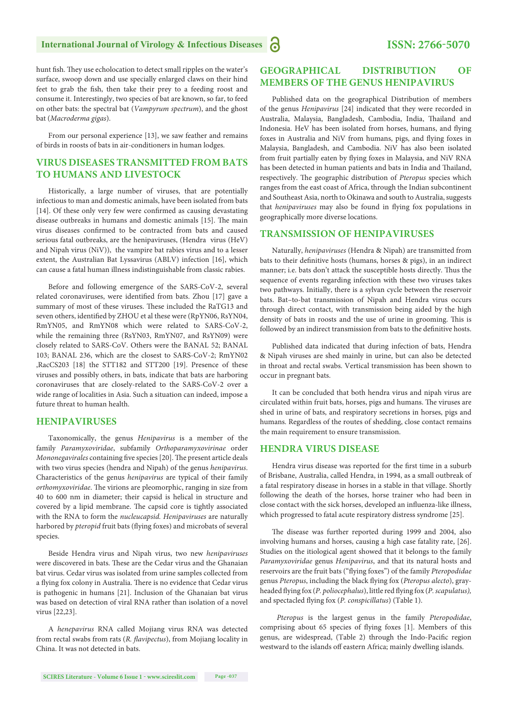hunt fish. They use echolocation to detect small ripples on the water's surface, swoop down and use specially enlarged claws on their hind feet to grab the fish, then take their prey to a feeding roost and consume it. Interestingly, two species of bat are known, so far, to feed on other bats: the spectral bat (*Vampyrum spectrum*), and the ghost bat (*Macroderma gigas*).

From our personal experience [13], we saw feather and remains of birds in roosts of bats in air-conditioners in human lodges.

## **VIRUS DISEASES TRANSMITTED FROM BATS TO HUMANS AND LIVESTOCK**

Historically, a large number of viruses, that are potentially infectious to man and domestic animals, have been isolated from bats [14]. Of these only very few were confirmed as causing devastating disease outbreaks in humans and domestic animals [15]. The main virus diseases confirmed to be contracted from bats and caused serious fatal outbreaks, are the henipaviruses, (Hendra virus (HeV) and Nipah virus (NiV)), the vampire bat rabies virus and to a lesser extent, the Australian Bat Lyssavirus (ABLV) infection [16], which can cause a fatal human illness indistinguishable from classic rabies.

Before and following emergence of the SARS-CoV-2, several related coronaviruses, were identified from bats. Zhou [17] gave a summary of most of these viruses. These included the RaTG13 and seven others, identified by ZHOU et al these were (RpYN06, RsYN04, RmYN05, and RmYN08 which were related to SARS-CoV-2, while the remaining three (RsYN03, RmYN07, and RsYN09) were closely related to SARS-CoV. Others were the BANAL 52; BANAL 103; BANAL 236, which are the closest to SARS-CoV-2; RmYN02 ,RacCS203 [18] the STT182 and STT200 [19]. Presence of these viruses and possibly others, in bats, indicate that bats are harboring coronaviruses that are closely-related to the SARS-CoV-2 over a wide range of localities in Asia. Such a situation can indeed, impose a future threat to human health.

#### **HENIPAVIRUSES**

Taxonomically, the genus *Henipavirus* is a member of the family *Paramyxoviridae*, subfamily *Orthoparamyxovirinae* order *Mononegavirales* containing five species [20]. The present article deals with two virus species (hendra and Nipah) of the genus *henipavirus*. Characteristics of the genus *henipavirus* are typical of their family *orthomyxoviridae*. The virions are pleomorphic, ranging in size from 40 to 600 nm in diameter; their capsid is helical in structure and covered by a lipid membrane. The capsid core is tightly associated with the RNA to form the *nucleucapsid. Henipaviruses* are naturally harbored by *pteropid* fruit bats (flying foxes) and microbats of several species.

Beside Hendra virus and Nipah virus, two new *henipaviruses*  were discovered in bats. These are the Cedar virus and the Ghanaian bat virus. Cedar virus was isolated from urine samples collected from a flying fox colony in Australia. There is no evidence that Cedar virus is pathogenic in humans [21]. Inclusion of the Ghanaian bat virus was based on detection of viral RNA rather than isolation of a novel virus [22,23].

A *henepavirus* RNA called Mojiang virus RNA was detected from rectal swabs from rats (*R. flavipectus*), from Mojiang locality in China. It was not detected in bats.

## **GEOGRAPHICAL DISTRIBUTION OF MEMBERS OF THE GENUS HENIPAVIRUS**

Published data on the geographical Distribution of members of the genus *Henipavirus* [24] indicated that they were recorded in Australia, Malaysia, Bangladesh, Cambodia, India, Thailand and Indonesia. HeV has been isolated from horses, humans, and flying foxes in Australia and NiV from humans, pigs, and flying foxes in Malaysia, Bangladesh, and Cambodia. NiV has also been isolated from fruit partially eaten by flying foxes in Malaysia, and NiV RNA has been detected in human patients and bats in India and Thailand, respectively. The geographic distribution of *Pteropus* species which ranges from the east coast of Africa, through the Indian subcontinent and Southeast Asia, north to Okinawa and south to Australia, suggests that *henipaviruses* may also be found in flying fox populations in geographically more diverse locations.

#### **TRANSMISSION OF HENIPAVIRUSES**

Naturally, *henipaviruses* (Hendra & Nipah) are transmitted from bats to their definitive hosts (humans, horses & pigs), in an indirect manner; i.e. bats don't attack the susceptible hosts directly. Thus the sequence of events regarding infection with these two viruses takes two pathways. Initially, there is a sylvan cycle between the reservoir bats. Bat–to-bat transmission of Nipah and Hendra virus occurs through direct contact, with transmission being aided by the high density of bats in roosts and the use of urine in grooming. This is followed by an indirect transmission from bats to the definitive hosts.

Published data indicated that during infection of bats, Hendra & Nipah viruses are shed mainly in urine, but can also be detected in throat and rectal swabs. Vertical transmission has been shown to occur in pregnant bats.

It can be concluded that both hendra virus and nipah virus are circulated within fruit bats, horses, pigs and humans. The viruses are shed in urine of bats, and respiratory secretions in horses, pigs and humans. Regardless of the routes of shedding, close contact remains the main requirement to ensure transmission.

#### **HENDRA VIRUS DISEASE**

Hendra virus disease was reported for the first time in a suburb of Brisbane, Australia, called Hendra, in 1994, as a small outbreak of a fatal respiratory disease in horses in a stable in that village. Shortly following the death of the horses, horse trainer who had been in close contact with the sick horses, developed an influenza-like illness, which progressed to fatal acute respiratory distress syndrome [25].

The disease was further reported during 1999 and 2004, also involving humans and horses, causing a high case fatality rate, [26]. Studies on the itiological agent showed that it belongs to the family *Paramyxoviridae* genus *Henipavirus*, and that its natural hosts and reservoirs are the fruit bats ("flying foxes") of the family *Pteropodidae* genus Pteropus, including the black flying fox (Pteropus alecto), grayheaded flying fox (P. poliocephalus), little red flying fox (P. scapulatus), and spectacled flying fox (*P. conspicillatus*) (Table 1).

 *Pteropus* is the largest genus in the family *Pteropodidae*, comprising about 65 species of flying foxes [1]. Members of this genus, are widespread, (Table 2) through the Indo-Pacific region westward to the islands off eastern Africa; mainly dwelling islands.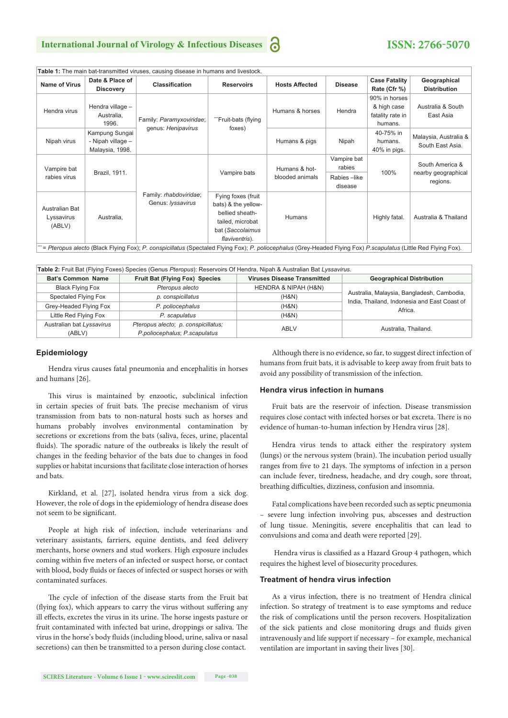## **International Journal of Virology & Infectious Diseases**

## **ISSN: 2766-5070**

| rapic T. The main partialismitted virases, cadsing disease in hamans and irrestock.                                                                             |                   |                                                |                               |                                  |                |                      |                                                    |  |
|-----------------------------------------------------------------------------------------------------------------------------------------------------------------|-------------------|------------------------------------------------|-------------------------------|----------------------------------|----------------|----------------------|----------------------------------------------------|--|
| <b>Name of Virus</b>                                                                                                                                            | Date & Place of   | Classification                                 | <b>Reservoirs</b>             | <b>Hosts Affected</b>            | <b>Disease</b> | <b>Case Fatality</b> | Geographical                                       |  |
|                                                                                                                                                                 | <b>Discovery</b>  |                                                |                               |                                  |                | Rate (Cfr %)         | <b>Distribution</b>                                |  |
| Hendra virus                                                                                                                                                    |                   | Family: Paramyxoviridae;<br>genus: Henipavirus | "Fruit-bats (flying<br>foxes) | Humans & horses                  | Hendra         | 90% in horses        |                                                    |  |
|                                                                                                                                                                 | Hendra village -  |                                                |                               |                                  |                | & high case          | Australia & South                                  |  |
|                                                                                                                                                                 | Australia,        |                                                |                               |                                  |                | fatality rate in     | East Asia                                          |  |
|                                                                                                                                                                 | 1996.             |                                                |                               |                                  |                | humans.              |                                                    |  |
| Nipah virus                                                                                                                                                     | Kampung Sungai    |                                                |                               | Humans & pigs                    | Nipah          | 40-75% in            | Malaysia, Australia &<br>South East Asia.          |  |
|                                                                                                                                                                 | - Nipah village - |                                                |                               |                                  |                | humans.              |                                                    |  |
|                                                                                                                                                                 | Malaysia, 1998.   |                                                |                               |                                  |                | 40% in pigs.         |                                                    |  |
| Vampire bat<br>rabies virus                                                                                                                                     | Brazil, 1911.     | Family: rhabdoviridae;<br>Genus: lyssavirus    | Vampire bats                  | Humans & hot-<br>blooded animals | Vampire bat    | 100%                 | South America &<br>nearby geographical<br>regions. |  |
|                                                                                                                                                                 |                   |                                                |                               |                                  | rabies         |                      |                                                    |  |
|                                                                                                                                                                 |                   |                                                |                               |                                  | Rabies-like    |                      |                                                    |  |
|                                                                                                                                                                 |                   |                                                |                               |                                  | disease        |                      |                                                    |  |
| Australian Bat<br>Lyssavirus<br>(ABLV)                                                                                                                          | Australia,        |                                                | Fying foxes (fruit            | Humans                           |                | Highly fatal.        | Australia & Thailand                               |  |
|                                                                                                                                                                 |                   |                                                | bats) & the yellow-           |                                  |                |                      |                                                    |  |
|                                                                                                                                                                 |                   |                                                | bellied sheath-               |                                  |                |                      |                                                    |  |
|                                                                                                                                                                 |                   |                                                | tailed, microbat              |                                  |                |                      |                                                    |  |
|                                                                                                                                                                 |                   |                                                | bat (Saccolaimus              |                                  |                |                      |                                                    |  |
|                                                                                                                                                                 |                   |                                                | flaviventris).                |                                  |                |                      |                                                    |  |
| = Pteropus alecto (Black Flying Fox); P. conspicillatus (Spectaled Flying Fox); P. poliocephalus (Grey-Headed Flying Fox) P.scapulatus (Little Red Flying Fox). |                   |                                                |                               |                                  |                |                      |                                                    |  |

**Table 1:** The main bat-transmitted viruses, causing disease in humans and livestock.

| Table 2: Fruit Bat (Flying Foxes) Species (Genus Pteropus): Reservoirs Of Hendra, Nipah & Australian Bat Lyssavirus. |                                |                                    |                                                                                            |  |  |  |  |  |  |
|----------------------------------------------------------------------------------------------------------------------|--------------------------------|------------------------------------|--------------------------------------------------------------------------------------------|--|--|--|--|--|--|
| Bat's Common Name                                                                                                    | Fruit Bat (Flying Fox) Species | <b>Viruses Disease Transmitted</b> | <b>Geographical Distribution</b>                                                           |  |  |  |  |  |  |
| <b>Black Flying Fox</b>                                                                                              | Pteropus alecto                | HENDRA & NIPAH (H&N)               |                                                                                            |  |  |  |  |  |  |
| Spectaled Flying Fox                                                                                                 | p. conspicillatus              | (H&N)                              | Australia, Malaysia, Bangladesh, Cambodia,<br>India, Thailand, Indonesia and East Coast of |  |  |  |  |  |  |
| Grey-Headed Flying Fox                                                                                               | P. poliocephalus               | (H&N)                              | Africa.                                                                                    |  |  |  |  |  |  |
| Little Red Flying Fox                                                                                                | P. scapulatus                  | (H&N)                              |                                                                                            |  |  |  |  |  |  |
| Australian bat Lyssavirus<br>Pteropus alecto; p. conspicillatus;                                                     |                                | ABLV                               | Australia, Thailand.                                                                       |  |  |  |  |  |  |
| (ABLV)                                                                                                               | P.poliocephalus; P.scapulatus  |                                    |                                                                                            |  |  |  |  |  |  |

#### **Epidemiology**

Hendra virus causes fatal pneumonia and encephalitis in horses and humans [26].

This virus is maintained by enzootic, subclinical infection in certain species of fruit bats. The precise mechanism of virus transmission from bats to non-natural hosts such as horses and humans probably involves environmental contamination by secretions or excretions from the bats (saliva, feces, urine, placental fluids). The sporadic nature of the outbreaks is likely the result of changes in the feeding behavior of the bats due to changes in food supplies or habitat incursions that facilitate close interaction of horses and bats.

Kirkland, et al. [27], isolated hendra virus from a sick dog. However, the role of dogs in the epidemiology of hendra disease does not seem to be significant.

People at high risk of infection, include veterinarians and veterinary assistants, farriers, equine dentists, and feed delivery merchants, horse owners and stud workers. High exposure includes coming within five meters of an infected or suspect horse, or contact with blood, body fluids or faeces of infected or suspect horses or with contaminated surfaces.

The cycle of infection of the disease starts from the Fruit bat (flying fox), which appears to carry the virus without suffering any ill effects, excretes the virus in its urine. The horse ingests pasture or fruit contaminated with infected bat urine, droppings or saliva. The virus in the horse's body fluids (including blood, urine, saliva or nasal secretions) can then be transmitted to a person during close contact.

Although there is no evidence, so far, to suggest direct infection of humans from fruit bats, it is advisable to keep away from fruit bats to avoid any possibility of transmission of the infection.

#### **Hendra virus infection in humans**

Fruit bats are the reservoir of infection. Disease transmission requires close contact with infected horses or bat excreta. There is no evidence of human-to-human infection by Hendra virus [28].

Hendra virus tends to attack either the respiratory system (lungs) or the nervous system (brain). The incubation period usually ranges from five to 21 days. The symptoms of infection in a person can include fever, tiredness, headache, and dry cough, sore throat, breathing difficulties, dizziness, confusion and insomnia.

Fatal complications have been recorded such as septic pneumonia – severe lung infection involving pus, abscesses and destruction of lung tissue. Meningitis, severe encephalitis that can lead to convulsions and coma and death were reported [29].

Hendra virus is classified as a Hazard Group 4 pathogen, which requires the highest level of biosecurity procedures.

#### **Treatment of hendra virus infection**

As a virus infection, there is no treatment of Hendra clinical infection. So strategy of treatment is to ease symptoms and reduce the risk of complications until the person recovers. Hospitalization of the sick patients and close monitoring drugs and fluids given intravenously and life support if necessary – for example, mechanical ventilation are important in saving their lives [30].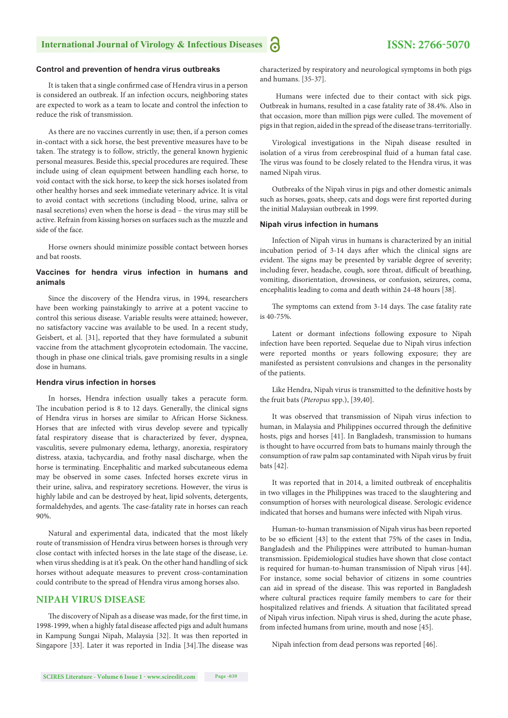#### **Control and prevention of hendra virus outbreaks**

It is taken that a single confirmed case of Hendra virus in a person is considered an outbreak. If an infection occurs, neighboring states are expected to work as a team to locate and control the infection to reduce the risk of transmission.

As there are no vaccines currently in use; then, if a person comes in-contact with a sick horse, the best preventive measures have to be taken. The strategy is to follow, strictly, the general known hygienic personal measures. Beside this, special procedures are required. These include using of clean equipment between handling each horse, to void contact with the sick horse, to keep the sick horses isolated from other healthy horses and seek immediate veterinary advice. It is vital to avoid contact with secretions (including blood, urine, saliva or nasal secretions) even when the horse is dead – the virus may still be active. Refrain from kissing horses on surfaces such as the muzzle and side of the face.

Horse owners should minimize possible contact between horses and bat roosts.

#### **Vaccines for hendra virus infection in humans and animals**

Since the discovery of the Hendra virus, in 1994, researchers have been working painstakingly to arrive at a potent vaccine to control this serious disease. Variable results were attained; however, no satisfactory vaccine was available to be used. In a recent study, Geisbert, et al. [31], reported that they have formulated a subunit vaccine from the attachment glycoprotein ectodomain. The vaccine, though in phase one clinical trials, gave promising results in a single dose in humans.

#### **Hendra virus infection in horses**

In horses, Hendra infection usually takes a peracute form. The incubation period is 8 to 12 days. Generally, the clinical signs of Hendra virus in horses are similar to African Horse Sickness. Horses that are infected with virus develop severe and typically fatal respiratory disease that is characterized by fever, dyspnea, vasculitis, severe pulmonary edema, lethargy, anorexia, respiratory distress, ataxia, tachycardia, and frothy nasal discharge, when the horse is terminating. Encephalitic and marked subcutaneous edema may be observed in some cases. Infected horses excrete virus in their urine, saliva, and respiratory secretions. However, the virus is highly labile and can be destroyed by heat, lipid solvents, detergents, formaldehydes, and agents. The case-fatality rate in horses can reach 90%.

Natural and experimental data, indicated that the most likely route of transmission of Hendra virus between horses is through very close contact with infected horses in the late stage of the disease, i.e. when virus shedding is at it's peak. On the other hand handling of sick horses without adequate measures to prevent cross-contamination could contribute to the spread of Hendra virus among horses also.

## **NIPAH VIRUS DISEASE**

The discovery of Nipah as a disease was made, for the first time, in 1998-1999, when a highly fatal disease affected pigs and adult humans in Kampung Sungai Nipah, Malaysia [32]. It was then reported in Singapore [33]. Later it was reported in India [34]. The disease was characterized by respiratory and neurological symptoms in both pigs and humans. [35-37].

 Humans were infected due to their contact with sick pigs. Outbreak in humans, resulted in a case fatality rate of 38.4%. Also in that occasion, more than million pigs were culled. The movement of pigs in that region, aided in the spread of the disease trans-territorially.

Virological investigations in the Nipah disease resulted in isolation of a virus from cerebrospinal fluid of a human fatal case. The virus was found to be closely related to the Hendra virus, it was named Nipah virus.

Outbreaks of the Nipah virus in pigs and other domestic animals such as horses, goats, sheep, cats and dogs were first reported during the initial Malaysian outbreak in 1999.

#### **Nipah virus infection in humans**

Infection of Nipah virus in humans is characterized by an initial incubation period of 3-14 days after which the clinical signs are evident. The signs may be presented by variable degree of severity; including fever, headache, cough, sore throat, difficult of breathing, vomiting, disorientation, drowsiness, or confusion, seizures, coma, encephalitis leading to coma and death within 24-48 hours [38].

The symptoms can extend from 3-14 days. The case fatality rate is 40-75%.

Latent or dormant infections following exposure to Nipah infection have been reported. Sequelae due to Nipah virus infection were reported months or years following exposure; they are manifested as persistent convulsions and changes in the personality of the patients.

Like Hendra, Nipah virus is transmitted to the definitive hosts by the fruit bats (*Pteropus* spp.), [39,40].

It was observed that transmission of Nipah virus infection to human, in Malaysia and Philippines occurred through the definitive hosts, pigs and horses [41]. In Bangladesh, transmission to humans is thought to have occurred from bats to humans mainly through the consumption of raw palm sap contaminated with Nipah virus by fruit bats [42].

It was reported that in 2014, a limited outbreak of encephalitis in two villages in the Philippines was traced to the slaughtering and consumption of horses with neurological disease. Serologic evidence indicated that horses and humans were infected with Nipah virus.

Human-to-human transmission of Nipah virus has been reported to be so efficient [43] to the extent that 75% of the cases in India, Bangladesh and the Philippines were attributed to human-human transmission. Epidemiological studies have shown that close contact is required for human-to-human transmission of Nipah virus [44]. For instance, some social behavior of citizens in some countries can aid in spread of the disease. This was reported in Bangladesh where cultural practices require family members to care for their hospitalized relatives and friends. A situation that facilitated spread of Nipah virus infection. Nipah virus is shed, during the acute phase, from infected humans from urine, mouth and nose [45].

Nipah infection from dead persons was reported [46].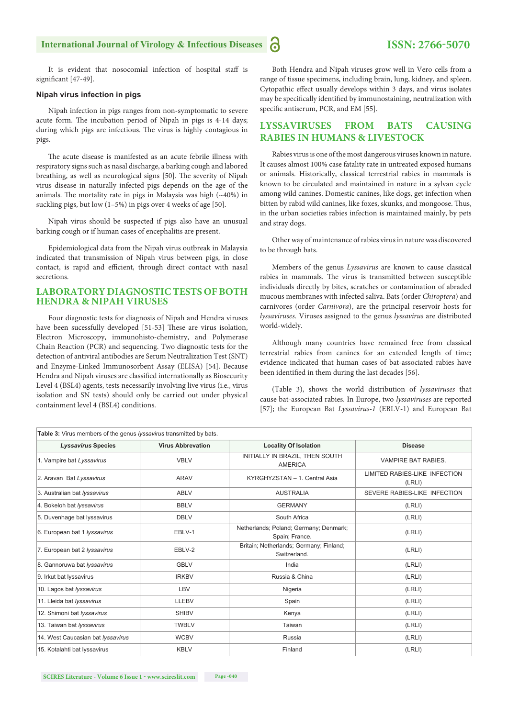It is evident that nosocomial infection of hospital staff is significant [47-49].

#### **Nipah virus infection in pigs**

Nipah infection in pigs ranges from non-symptomatic to severe acute form. The incubation period of Nipah in pigs is 4-14 days; during which pigs are infectious. The virus is highly contagious in pigs.

The acute disease is manifested as an acute febrile illness with respiratory signs such as nasal discharge, a barking cough and labored breathing, as well as neurological signs [50]. The severity of Nipah virus disease in naturally infected pigs depends on the age of the animals. The mortality rate in pigs in Malaysia was high  $(\sim40\%)$  in suckling pigs, but low (1–5%) in pigs over 4 weeks of age [50].

Nipah virus should be suspected if pigs also have an unusual barking cough or if human cases of encephalitis are present.

Epidemiological data from the Nipah virus outbreak in Malaysia indicated that transmission of Nipah virus between pigs, in close contact, is rapid and efficient, through direct contact with nasal secretions.

## **LABORATORY DIAGNOSTIC TESTS OF BOTH HENDRA & NIPAH VIRUSES**

Four diagnostic tests for diagnosis of Nipah and Hendra viruses have been sucessfully developed [51-53] These are virus isolation, Electron Microscopy, immunohisto-chemistry, and Polymerase Chain Reaction (PCR) and sequencing. Two diagnostic tests for the detection of antiviral antibodies are Serum Neutralization Test (SNT) and Enzyme-Linked Immunosorbent Assay (ELISA) [54]. Because Hendra and Nipah viruses are classified internationally as Biosecurity Level 4 (BSL4) agents, tests necessarily involving live virus (i.e., virus isolation and SN tests) should only be carried out under physical containment level 4 (BSL4) conditions.

Both Hendra and Nipah viruses grow well in Vero cells from a range of tissue specimens, including brain, lung, kidney, and spleen. Cytopathic effect usually develops within 3 days, and virus isolates may be specifically identified by immunostaining, neutralization with specific antiserum, PCR, and EM [55].

## **LYSSAVIRUSES FROM BATS CAUSING RABIES IN HUMANS & LIVESTOCK**

Rabies virus is one of the most dangerous viruses known in nature. It causes almost 100% case fatality rate in untreated exposed humans or animals. Historically, classical terrestrial rabies in mammals is known to be circulated and maintained in nature in a sylvan cycle among wild canines. Domestic canines, like dogs, get infection when bitten by rabid wild canines, like foxes, skunks, and mongoose. Thus, in the urban societies rabies infection is maintained mainly, by pets and stray dogs.

Other way of maintenance of rabies virus in nature was discovered to be through bats.

Members of the genus *Lyssavirus* are known to cause classical rabies in mammals. The virus is transmitted between susceptible individuals directly by bites, scratches or contamination of abraded mucous membranes with infected saliva. Bats (order *Chiroptera*) and carnivores (order *Carnivora*), are the principal reservoir hosts for *lyssaviruses*. Viruses assigned to the genus *lyssavirus* are distributed world-widely.

Although many countries have remained free from classical terrestrial rabies from canines for an extended length of time; evidence indicated that human cases of bat-associated rabies have been identified in them during the last decades [56].

(Table 3), shows the world distribution of *lyssaviruses* that cause bat-associated rabies. In Europe, two *lyssaviruses* are reported [57]; the European Bat *Lyssavirus-1* (EBLV-1) and European Bat

| Table 3: Virus members of the genus lyssavirus transmitted by bats. |                          |                                                          |                                         |  |  |  |  |  |
|---------------------------------------------------------------------|--------------------------|----------------------------------------------------------|-----------------------------------------|--|--|--|--|--|
| <b>Lyssavirus Species</b>                                           | <b>Virus Abbrevation</b> | <b>Locality Of Isolation</b>                             | <b>Disease</b>                          |  |  |  |  |  |
| 1. Vampire bat Lyssavirus                                           | <b>VBLV</b>              | INITIALLY IN BRAZIL, THEN SOUTH<br><b>AMERICA</b>        | VAMPIRE BAT RABIES.                     |  |  |  |  |  |
| 2. Aravan Bat Lyssavirus                                            | ARAV                     | KYRGHYZSTAN - 1. Central Asia                            | LIMITED RABIES-LIKE INFECTION<br>(LRLI) |  |  |  |  |  |
| 3. Australian bat lyssavirus                                        | ABLV                     | <b>AUSTRALIA</b>                                         | SEVERE RABIES-LIKE INFECTION            |  |  |  |  |  |
| 4. Bokeloh bat lyssavirus                                           | <b>BBLV</b>              | <b>GERMANY</b>                                           | (LRLI)                                  |  |  |  |  |  |
| 5. Duvenhage bat lyssavirus                                         | <b>DBLV</b>              | South Africa                                             | (LRLI)                                  |  |  |  |  |  |
| 6. European bat 1 lyssavirus                                        | EBLV-1                   | Netherlands; Poland; Germany; Denmark;<br>Spain; France. | (LRLI)                                  |  |  |  |  |  |
| 7. European bat 2 lyssavirus                                        | EBLV-2                   | Britain; Netherlands; Germany; Finland;<br>Switzerland.  | (LRLI)                                  |  |  |  |  |  |
| 8. Gannoruwa bat lyssavirus                                         | <b>GBLV</b>              | India                                                    | (LRLI)                                  |  |  |  |  |  |
| 9. Irkut bat lyssavirus                                             | <b>IRKBV</b>             | Russia & China                                           | (LRLI)                                  |  |  |  |  |  |
| 10. Lagos bat lyssavirus                                            | LBV                      | Nigeria                                                  | (LRLI)                                  |  |  |  |  |  |
| 11. Lleida bat lyssavirus                                           | <b>LLEBV</b>             | Spain                                                    | (LRLI)                                  |  |  |  |  |  |
| 12. Shimoni bat lyssavirus                                          | <b>SHIBV</b>             | Kenya                                                    | (LRLI)                                  |  |  |  |  |  |
| 13. Taiwan bat lyssavirus                                           | <b>TWBLV</b>             | Taiwan                                                   | (LRLI)                                  |  |  |  |  |  |
| 14. West Caucasian bat lyssavirus                                   | <b>WCBV</b>              | Russia                                                   | (LRLI)                                  |  |  |  |  |  |
| 15. Kotalahti bat Iyssavirus                                        | <b>KBLV</b>              | Finland                                                  | (LRLI)                                  |  |  |  |  |  |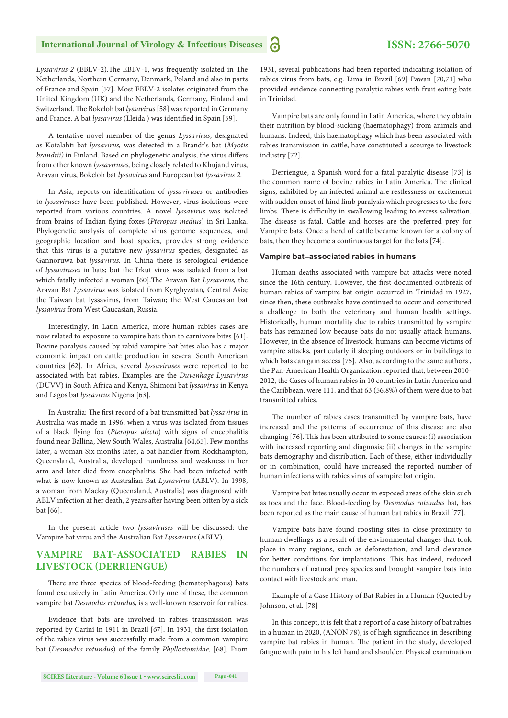*Lyssavirus-2* (EBLV-2). The EBLV-1, was frequently isolated in The Netherlands, Northern Germany, Denmark, Poland and also in parts of France and Spain [57]. Most EBLV-2 isolates originated from the United Kingdom (UK) and the Netherlands, Germany, Finland and Switzerland. The Bokeloh bat *lyssavirus* [58] was reported in Germany and France. A bat *lyssavirus* (Lleida ) was identified in Spain [59].

A tentative novel member of the genus *Lyssavirus*, designated as Kotalahti bat *lyssavirus,* was detected in a Brandt's bat (*Myotis brandtii)* in Finland. Based on phylogenetic analysis, the virus differs from other known *lyssaviruses,* being closely related to Khujand virus, Aravan virus, Bokeloh bat *lyssavirus* and European bat *lyssavirus 2*.

In Asia, reports on identification of *lyssaviruses* or antibodies to *lyssaviruses* have been published. However, virus isolations were reported from various countries. A novel *lyssavirus* was isolated from brains of Indian flying foxes (*Pteropus medius*) in Sri Lanka. Phylogenetic analysis of complete virus genome sequences, and geographic location and host species, provides strong evidence that this virus is a putative new *lyssavirus* species, designated as Gannoruwa bat *lyssavirus*. In China there is serological evidence of *lyssaviruses* in bats; but the Irkut virus was isolated from a bat which fatally infected a woman [60]. The Aravan Bat *Lyssavirus*, the Aravan Bat *Lyssavirus* was isolated from Kyrghyzstan, Central Asia; the Taiwan bat lyssavirus, from Taiwan; the West Caucasian bat *lyssavirus* from West Caucasian, Russia.

Interestingly, in Latin America, more human rabies cases are now related to exposure to vampire bats than to carnivore bites [61]. Bovine paralysis caused by rabid vampire bat bites also has a major economic impact on cattle production in several South American countries [62]. In Africa, several *lyssaviruses* were reported to be associated with bat rabies. Examples are the *Duvenhage Lyssavirus* (DUVV) in South Africa and Kenya, Shimoni bat *lyssavirus* in Kenya and Lagos bat *lyssavirus* Nigeria [63].

In Australia: The first record of a bat transmitted bat *lyssavirus* in Australia was made in 1996, when a virus was isolated from tissues of a black flying fox (*Pteropus alecto*) with signs of encephalitis found near Ballina, New South Wales, Australia [64,65]. Few months later, a woman Six months later, a bat handler from Rockhampton, Queensland, Australia, developed numbness and weakness in her arm and later died from encephalitis. She had been infected with what is now known as Australian Bat *Lyssavirus* (ABLV). In 1998, a woman from Mackay (Queensland, Australia) was diagnosed with ABLV infection at her death, 2 years after having been bitten by a sick bat [66].

In the present article two *lyssaviruses* will be discussed: the Vampire bat virus and the Australian Bat *Lyssavirus* (ABLV).

## **VAMPIRE BAT-ASSOCIATED RABIES IN LIVESTOCK (DERRIENGUE)**

There are three species of blood-feeding (hematophagous) bats found exclusively in Latin America. Only one of these, the common vampire bat *Desmodus rotundus*, is a well-known reservoir for rabies.

Evidence that bats are involved in rabies transmission was reported by Carini in 1911 in Brazil [67]. In 1931, the first isolation of the rabies virus was successfully made from a common vampire bat (*Desmodus rotundus*) of the family *Phyllostomidae*, [68]. From

1931, several publications had been reported indicating isolation of rabies virus from bats, e.g. Lima in Brazil [69] Pawan [70,71] who provided evidence connecting paralytic rabies with fruit eating bats in Trinidad.

Vampire bats are only found in Latin America, where they obtain their nutrition by blood-sucking (haematophagy) from animals and humans. Indeed, this haematophagy which has been associated with rabies transmission in cattle, have constituted a scourge to livestock industry [72].

Derriengue, a Spanish word for a fatal paralytic disease [73] is the common name of bovine rabies in Latin America. The clinical signs, exhibited by an infected animal are restlessness or excitement with sudden onset of hind limb paralysis which progresses to the fore limbs. There is difficulty in swallowing leading to excess salivation. The disease is fatal. Cattle and horses are the preferred prey for Vampire bats. Once a herd of cattle became known for a colony of bats, then they become a continuous target for the bats [74].

#### **Vampire bat–associated rabies in humans**

Human deaths associated with vampire bat attacks were noted since the 16th century. However, the first documented outbreak of human rabies of vampire bat origin occurred in Trinidad in 1927, since then, these outbreaks have continued to occur and constituted a challenge to both the veterinary and human health settings. Historically, human mortality due to rabies transmitted by vampire bats has remained low because bats do not usually attack humans. However, in the absence of livestock, humans can become victims of vampire attacks, particularly if sleeping outdoors or in buildings to which bats can gain access [75]. Also, according to the same authors , the Pan-American Health Organization reported that, between 2010- 2012, the Cases of human rabies in 10 countries in Latin America and the Caribbean, were 111, and that 63 (56.8%) of them were due to bat transmitted rabies.

The number of rabies cases transmitted by vampire bats, have increased and the patterns of occurrence of this disease are also changing [76]. This has been attributed to some causes: (i) association with increased reporting and diagnosis; (ii) changes in the vampire bats demography and distribution. Each of these, either individually or in combination, could have increased the reported number of human infections with rabies virus of vampire bat origin.

Vampire bat bites usually occur in exposed areas of the skin such as toes and the face. Blood-feeding by *Desmodus rotundus* bat, has been reported as the main cause of human bat rabies in Brazil [77].

Vampire bats have found roosting sites in close proximity to human dwellings as a result of the environmental changes that took place in many regions, such as deforestation, and land clearance for better conditions for implantations. This has indeed, reduced the numbers of natural prey species and brought vampire bats into contact with livestock and man.

Example of a Case History of Bat Rabies in a Human (Quoted by Johnson, et al. [78]

In this concept, it is felt that a report of a case history of bat rabies in a human in 2020, (ANON 78), is of high significance in describing vampire bat rabies in human. The patient in the study, developed fatigue with pain in his left hand and shoulder. Physical examination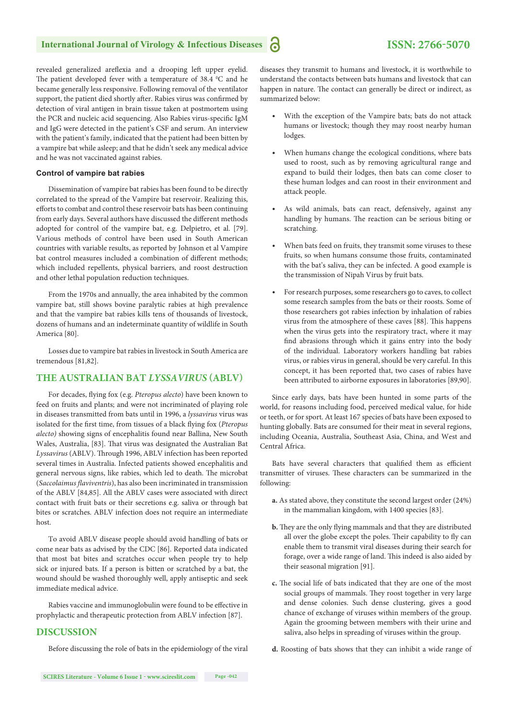revealed generalized areflexia and a drooping left upper eyelid. The patient developed fever with a temperature of  $38.4 \,^{\circ}\text{C}$  and he became generally less responsive. Following removal of the ventilator support, the patient died shortly after. Rabies virus was confirmed by detection of viral antigen in brain tissue taken at postmortem using the PCR and nucleic acid sequencing. Also Rabies virus-specific IgM and IgG were detected in the patient's CSF and serum. An interview with the patient's family, indicated that the patient had been bitten by a vampire bat while asleep; and that he didn't seek any medical advice and he was not vaccinated against rabies.

#### **Control of vampire bat rabies**

Dissemination of vampire bat rabies has been found to be directly correlated to the spread of the Vampire bat reservoir. Realizing this, efforts to combat and control these reservoir bats has been continuing from early days. Several authors have discussed the different methods adopted for control of the vampire bat, e.g. Delpietro, et al. [79]. Various methods of control have been used in South American countries with variable results, as reported by Johnson et al Vampire bat control measures included a combination of different methods; which included repellents, physical barriers, and roost destruction and other lethal population reduction techniques.

From the 1970s and annually, the area inhabited by the common vampire bat, still shows bovine paralytic rabies at high prevalence and that the vampire bat rabies kills tens of thousands of livestock, dozens of humans and an indeterminate quantity of wildlife in South America [80].

Losses due to vampire bat rabies in livestock in South America are tremendous [81,82].

## **THE AUSTRALIAN BAT** *LYSSAVIRUS* **(ABLV)**

For decades, flying fox (e.g. *Pteropus alecto*) have been known to feed on fruits and plants; and were not incriminated of playing role in diseases transmitted from bats until in 1996, a *lyssavirus* virus was isolated for the first time, from tissues of a black flying fox (*Pteropus alecto)* showing signs of encephalitis found near Ballina, New South Wales, Australia, [83]. That virus was designated the Australian Bat Lyssavirus (ABLV). Through 1996, ABLV infection has been reported several times in Australia. Infected patients showed encephalitis and general nervous signs, like rabies, which led to death. The microbat (*Saccolaimus flaviventris*), has also been incriminated in transmission of the ABLV [84,85]. All the ABLV cases were associated with direct contact with fruit bats or their secretions e.g. saliva or through bat bites or scratches. ABLV infection does not require an intermediate host.

To avoid ABLV disease people should avoid handling of bats or come near bats as advised by the CDC [86]. Reported data indicated that most bat bites and scratches occur when people try to help sick or injured bats. If a person is bitten or scratched by a bat, the wound should be washed thoroughly well, apply antiseptic and seek immediate medical advice.

Rabies vaccine and immunoglobulin were found to be effective in prophylactic and therapeutic protection from ABLV infection [87].

## **DISCUSSION**

Before discussing the role of bats in the epidemiology of the viral

diseases they transmit to humans and livestock, it is worthwhile to understand the contacts between bats humans and livestock that can happen in nature. The contact can generally be direct or indirect, as summarized below:

- With the exception of the Vampire bats; bats do not attack humans or livestock; though they may roost nearby human lodges.
- When humans change the ecological conditions, where bats used to roost, such as by removing agricultural range and expand to build their lodges, then bats can come closer to these human lodges and can roost in their environment and attack people.
- As wild animals, bats can react, defensively, against any handling by humans. The reaction can be serious biting or scratching.
- When bats feed on fruits, they transmit some viruses to these fruits, so when humans consume those fruits, contaminated with the bat's saliva, they can be infected. A good example is the transmission of Nipah Virus by fruit bats.
- For research purposes, some researchers go to caves, to collect some research samples from the bats or their roosts. Some of those researchers got rabies infection by inhalation of rabies virus from the atmosphere of these caves [88]. This happens when the virus gets into the respiratory tract, where it may find abrasions through which it gains entry into the body of the individual. Laboratory workers handling bat rabies virus, or rabies virus in general, should be very careful. In this concept, it has been reported that, two cases of rabies have been attributed to airborne exposures in laboratories [89,90].

Since early days, bats have been hunted in some parts of the world, for reasons including food, perceived medical value, for hide or teeth, or for sport. At least 167 species of bats have been exposed to hunting globally. Bats are consumed for their meat in several regions, including Oceania, Australia, Southeast Asia, China, and West and Central Africa.

Bats have several characters that qualified them as efficient transmitter of viruses. These characters can be summarized in the following:

- **a.** As stated above, they constitute the second largest order (24%) in the mammalian kingdom, with 1400 species [83].
- **b.** They are the only flying mammals and that they are distributed all over the globe except the poles. Their capability to fly can enable them to transmit viral diseases during their search for forage, over a wide range of land. This indeed is also aided by their seasonal migration [91].
- c. The social life of bats indicated that they are one of the most social groups of mammals. They roost together in very large and dense colonies. Such dense clustering, gives a good chance of exchange of viruses within members of the group. Again the grooming between members with their urine and saliva, also helps in spreading of viruses within the group.
- **d.** Roosting of bats shows that they can inhibit a wide range of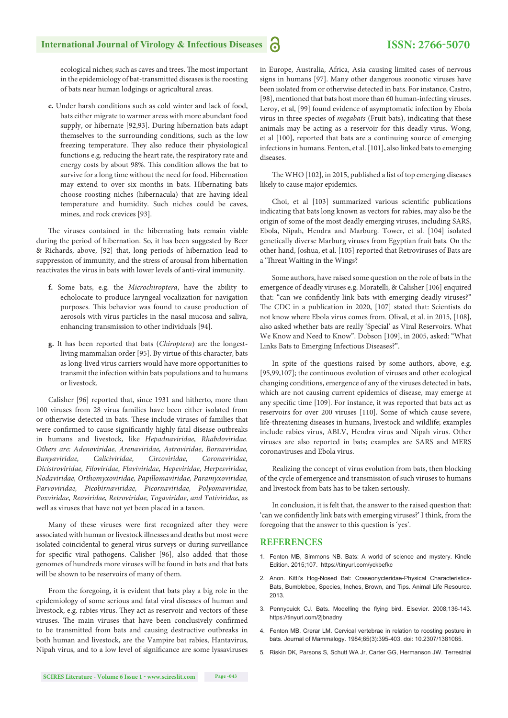ecological niches; such as caves and trees. The most important in the epidemiology of bat-transmitted diseases is the roosting of bats near human lodgings or agricultural areas.

**e.** Under harsh conditions such as cold winter and lack of food, bats either migrate to warmer areas with more abundant food supply, or hibernate [92,93]. During hibernation bats adapt themselves to the surrounding conditions, such as the low freezing temperature. They also reduce their physiological functions e.g. reducing the heart rate, the respiratory rate and energy costs by about 98%. This condition allows the bat to survive for a long time without the need for food. Hibernation may extend to over six months in bats. Hibernating bats choose roosting niches (hibernacula) that are having ideal temperature and humidity. Such niches could be caves, mines, and rock crevices [93].

The viruses contained in the hibernating bats remain viable during the period of hibernation. So, it has been suggested by Beer & Richards, above, [92] that, long periods of hibernation lead to suppression of immunity, and the stress of arousal from hibernation reactivates the virus in bats with lower levels of anti‐viral immunity.

- **f.** Some bats, e.g. the *Microchiroptera*, have the ability to echolocate to produce laryngeal vocalization for navigation purposes. This behavior was found to cause production of aerosols with virus particles in the nasal mucosa and saliva, enhancing transmission to other individuals [94].
- **g.** It has been reported that bats (*Chiroptera*) are the longestliving mammalian order [95]. By virtue of this character, bats as long-lived virus carriers would have more opportunities to transmit the infection within bats populations and to humans or livestock.

Calisher [96] reported that, since 1931 and hitherto, more than 100 viruses from 28 virus families have been either isolated from or otherwise detected in bats. These include viruses of families that were confirmed to cause significantly highly fatal disease outbreaks in humans and livestock, like *Hepadnaviridae, Rhabdoviridae. Others are: Adenoviridae, Arenaviridae, Astroviridae, Bornaviridae, Bunyaviridae, Caliciviridae, Circoviridae, Coronaviridae, Dicistroviridae, Filoviridae, Flaviviridae, Hepeviridae, Herpesviridae, Nodaviridae, Orthomyxoviridae, Papillomaviridae, Paramyxoviridae, Parvoviridae, Picobirnaviridae, Picornaviridae, Polyomaviridae, Poxviridae, Reoviridae, Retroviridae, Togaviridae, and Totiviridae*, as well as viruses that have not yet been placed in a taxon.

Many of these viruses were first recognized after they were associated with human or livestock illnesses and deaths but most were isolated coincidental to general virus surveys or during surveillance for specific viral pathogens. Calisher [96], also added that those genomes of hundreds more viruses will be found in bats and that bats will be shown to be reservoirs of many of them.

From the foregoing, it is evident that bats play a big role in the epidemiology of some serious and fatal viral diseases of human and livestock, e.g. rabies virus. They act as reservoir and vectors of these viruses. The main viruses that have been conclusively confirmed to be transmitted from bats and causing destructive outbreaks in both human and livestock, are the Vampire bat rabies, Hantavirus, Nipah virus, and to a low level of significance are some lyssaviruses in Europe, Australia, Africa, Asia causing limited cases of nervous signs in humans [97]. Many other dangerous zoonotic viruses have been isolated from or otherwise detected in bats. For instance, Castro, [98], mentioned that bats host more than 60 human-infecting viruses. Leroy, et al, [99] found evidence of asymptomatic infection by Ebola virus in three species of *megabats* (Fruit bats), indicating that these animals may be acting as a reservoir for this deadly virus. Wong, et al [100], reported that bats are a continuing source of emerging infections in humans. Fenton, et al. [101], also linked bats to emerging diseases.

The WHO [102], in 2015, published a list of top emerging diseases likely to cause major epidemics.

Choi, et al [103] summarized various scientific publications indicating that bats long known as vectors for rabies, may also be the origin of some of the most deadly emerging viruses, including SARS, Ebola, Nipah, Hendra and Marburg. Tower, et al. [104] isolated genetically diverse Marburg viruses from Egyptian fruit bats. On the other hand, Joshua, et al. [105] reported that Retroviruses of Bats are a 'Threat Waiting in the Wings?

Some authors, have raised some question on the role of bats in the emergence of deadly viruses e.g. Moratelli, & Calisher [106] enquired that: "can we confidently link bats with emerging deadly viruses?" The CDC in a publication in 2020, [107] stated that: Scientists do not know where Ebola virus comes from. Olival, et al. in 2015, [108], also asked whether bats are really 'Special' as Viral Reservoirs. What We Know and Need to Know". Dobson [109], in 2005, asked: "What Links Bats to Emerging Infectious Diseases?".

In spite of the questions raised by some authors, above, e.g. [95,99,107]; the continuous evolution of viruses and other ecological changing conditions, emergence of any of the viruses detected in bats, which are not causing current epidemics of disease, may emerge at any specific time [109]. For instance, it was reported that bats act as reservoirs for over 200 viruses [110]. Some of which cause severe, life-threatening diseases in humans, livestock and wildlife; examples include rabies virus, ABLV, Hendra virus and Nipah virus. Other viruses are also reported in bats; examples are SARS and MERS coronaviruses and Ebola virus.

Realizing the concept of virus evolution from bats, then blocking of the cycle of emergence and transmission of such viruses to humans and livestock from bats has to be taken seriously.

In conclusion, it is felt that, the answer to the raised question that: 'can we confidently link bats with emerging viruses?' I think, from the foregoing that the answer to this question is 'yes'.

#### **REFERENCES**

- 1. Fenton MB, Simmons NB. Bats: A world of science and mystery. Kindle Edition. 2015;107. https://tinyurl.com/yckbefkc
- 2. Anon. Kitti's Hog-Nosed Bat: Craseonycteridae-Physical Characteristics-Bats, Bumblebee, Species, Inches, Brown, and Tips. Animal Life Resource. 2013.
- 3. Pennycuick CJ. Bats. Modelling the flying bird. Elsevier. 2008;136-143. https://tinyurl.com/2jbnadny
- 4. Fenton MB. Crerar LM. Cervical vertebrae in relation to roosting posture in bats. Journal of Mammalogy. 1984;65(3):395-403. doi: 10.2307/1381085.
- 5. Riskin DK, Parsons S, Schutt WA Jr, Carter GG, Hermanson JW. Terrestrial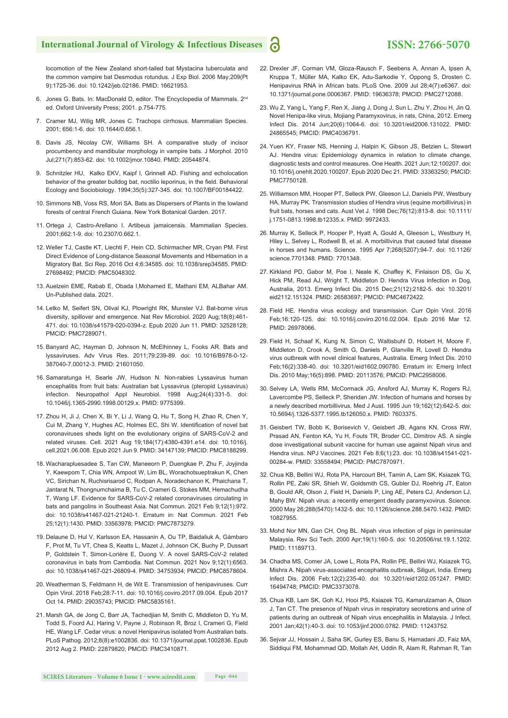locomotion of the New Zealand short-tailed bat Mystacina tuberculata and the common vampire bat Desmodus rotundus. J Exp Biol. 2006 May;209(Pt 9):1725-36. doi: 10.1242/jeb.02186. PMID: 16621953.

- 6. Jones G. Bats. In: MacDonald D, editor. The Encyclopedia of Mammals. 2<sup>nd</sup> ed. Oxford University Press; 2001. p.754-775.
- 7. Cramer MJ, Wilig MR, Jones C. Trachops cirrhosus. Mammalian Species. 2001; 656:1-6. doi: 10.1644/0.656.1.
- 8. Davis JS, Nicolay CW, Williams SH. A comparative study of incisor procumbency and mandibular morphology in vampire bats. J Morphol. 2010 Jul;271(7):853-62. doi: 10.1002/jmor.10840. PMID: 20544874.
- 9. Schnitzler HU, Kalko EKV, Kaipf I, Grinnell AD. Fishing and echolocation behavior of the greater bulldog bat, noctilio leporinus, in the field. Behavioral Ecology and Sociobiology. 1994;35(5):327-345. doi: 10.1007/BF00184422.
- 10. Simmons NB, Voss RS, Mori SA. Bats as Dispersers of Plants in the lowland forests of central French Guiana. New York Botanical Garden. 2017.
- 11. Ortega J, Castro-Arellano I. Artibeus jamaicensis. Mammalian Species. 2001;662:1-9. doi: 10.2307/0.662.1.
- 12. Weller TJ, Castle KT, Liechti F, Hein CD, Schirmacher MR, Cryan PM. First Direct Evidence of Long-distance Seasonal Movements and Hibernation in a Migratory Bat. Sci Rep. 2016 Oct 4;6:34585. doi: 10.1038/srep34585. PMID: 27698492; PMCID: PMC5048302.
- 13. Auelzein EME, Rabab E, Obada I,Mohamed E, Mathani EM, ALBahar AM. Un-Published data. 2021.
- 14. Letko M, Seifert SN, Olival KJ, Plowright RK, Munster VJ. Bat-borne virus diversity, spillover and emergence. Nat Rev Microbiol. 2020 Aug;18(8):461- 471. doi: 10.1038/s41579-020-0394-z. Epub 2020 Jun 11. PMID: 32528128; PMCID: PMC7289071.
- 15. Banyard AC, Hayman D, Johnson N, McElhinney L, Fooks AR. Bats and lyssaviruses. Adv Virus Res. 2011;79:239-89. doi: 10.1016/B978-0-12- 387040-7.00012-3. PMID: 21601050.
- 16. Samaratunga H, Searle JW, Hudson N. Non-rabies Lyssavirus human encephalitis from fruit bats: Australian bat Lyssavirus (pteropid Lyssavirus) infection. Neuropathol Appl Neurobiol. 1998 Aug;24(4):331-5. doi: 10.1046/j.1365-2990.1998.00129.x. PMID: 9775399.
- 17. Zhou H, Ji J, Chen X, Bi Y, Li J, Wang Q, Hu T, Song H, Zhao R, Chen Y, Cui M, Zhang Y, Hughes AC, Holmes EC, Shi W. Identification of novel bat coronaviruses sheds light on the evolutionary origins of SARS-CoV-2 and related viruses. Cell. 2021 Aug 19;184(17):4380-4391.e14. doi: 10.1016/j. cell.2021.06.008. Epub 2021 Jun 9. PMID: 34147139; PMCID: PMC8188299.
- 18. Wacharapluesadee S, Tan CW, Maneeorn P, Duengkae P, Zhu F, Joyjinda Y, Kaewpom T, Chia WN, Ampoot W, Lim BL, Worachotsueptrakun K, Chen VC, Sirichan N, Ruchisrisarod C, Rodpan A, Noradechanon K, Phaichana T, Jantarat N, Thongnumchaima B, Tu C, Crameri G, Stokes MM, Hemachudha T, Wang LF. Evidence for SARS-CoV-2 related coronaviruses circulating in bats and pangolins in Southeast Asia. Nat Commun. 2021 Feb 9;12(1):972. doi: 10.1038/s41467-021-21240-1. Erratum in: Nat Commun. 2021 Feb 25;12(1):1430. PMID: 33563978; PMCID: PMC7873279.
- 19. Delaune D, Hul V, Karlsson EA, Hassanin A, Ou TP, Baidaliuk A, Gámbaro F, Prot M, Tu VT, Chea S, Keatts L, Mazet J, Johnson CK, Buchy P, Dussart P, Goldstein T, Simon-Lorière E, Duong V. A novel SARS-CoV-2 related coronavirus in bats from Cambodia. Nat Commun. 2021 Nov 9;12(1):6563. doi: 10.1038/s41467-021-26809-4. PMID: 34753934; PMCID: PMC8578604.
- 20. Weatherman S, Feldmann H, de Wit E. Transmission of henipaviruses. Curr Opin Virol. 2018 Feb;28:7-11. doi: 10.1016/j.coviro.2017.09.004. Epub 2017 Oct 14. PMID: 29035743; PMCID: PMC5835161.
- 21. Marsh GA, de Jong C, Barr JA, Tachedjian M, Smith C, Middleton D, Yu M, Todd S, Foord AJ, Haring V, Payne J, Robinson R, Broz I, Crameri G, Field HE, Wang LF. Cedar virus: a novel Henipavirus isolated from Australian bats. PLoS Pathog. 2012;8(8):e1002836. doi: 10.1371/journal.ppat.1002836. Epub 2012 Aug 2. PMID: 22879820; PMCID: PMC3410871.
- 22. Drexler JF, Corman VM, Gloza-Rausch F, Seebens A, Annan A, Ipsen A, Kruppa T, Müller MA, Kalko EK, Adu-Sarkodie Y, Oppong S, Drosten C. Henipavirus RNA in African bats. PLoS One. 2009 Jul 28;4(7):e6367. doi: 10.1371/journal.pone.0006367. PMID: 19636378; PMCID: PMC2712088.
- 23. Wu Z, Yang L, Yang F, Ren X, Jiang J, Dong J, Sun L, Zhu Y, Zhou H, Jin Q. Novel Henipa-like virus, Mojiang Paramyxovirus, in rats, China, 2012. Emerg Infect Dis. 2014 Jun;20(6):1064-6. doi: 10.3201/eid2006.131022. PMID: 24865545; PMCID: PMC4036791.
- 24. Yuen KY, Fraser NS, Henning J, Halpin K, Gibson JS, Betzien L, Stewart AJ. Hendra virus: Epidemiology dynamics in relation to climate change, diagnostic tests and control measures. One Health. 2021 Jun;12:100207. doi: 10.1016/j.onehlt.2020.100207. Epub 2020 Dec 21. PMID: 33363250; PMCID: PMC7750128.
- 25. Williamson MM, Hooper PT, Selleck PW, Gleeson LJ, Daniels PW, Westbury HA, Murray PK. Transmission studies of Hendra virus (equine morbillivirus) in fruit bats, horses and cats. Aust Vet J. 1998 Dec;76(12):813-8. doi: 10.1111/ j.1751-0813.1998.tb12335.x. PMID: 9972433.
- 26. Murray K, Selleck P, Hooper P, Hyatt A, Gould A, Gleeson L, Westbury H, Hiley L, Selvey L, Rodwell B, et al. A morbillivirus that caused fatal disease in horses and humans. Science. 1995 Apr 7;268(5207):94-7. doi: 10.1126/ science.7701348. PMID: 7701348.
- 27. Kirkland PD, Gabor M, Poe I, Neale K, Chaffey K, Finlaison DS, Gu X, Hick PM, Read AJ, Wright T, Middleton D. Hendra Virus Infection in Dog, Australia, 2013. Emerg Infect Dis. 2015 Dec;21(12):2182-5. doi: 10.3201/ eid2112.151324. PMID: 26583697; PMCID: PMC4672422.
- 28. Field HE. Hendra virus ecology and transmission. Curr Opin Virol. 2016 Feb;16:120-125. doi: 10.1016/j.coviro.2016.02.004. Epub 2016 Mar 12. PMID: 26978066.
- 29. Field H, Schaaf K, Kung N, Simon C, Waltisbuhl D, Hobert H, Moore F, Middleton D, Crook A, Smith G, Daniels P, Glanville R, Lovell D. Hendra virus outbreak with novel clinical features, Australia. Emerg Infect Dis. 2010 Feb;16(2):338-40. doi: 10.3201/eid1602.090780. Erratum in: Emerg Infect Dis. 2010 May;16(5):898. PMID: 20113576; PMCID: PMC2958006.
- 30. Selvey LA, Wells RM, McCormack JG, Ansford AJ, Murray K, Rogers RJ, Lavercombe PS, Selleck P, Sheridan JW. Infection of humans and horses by a newly described morbillivirus. Med J Aust. 1995 Jun 19;162(12):642-5. doi: 10.5694/j.1326-5377.1995.tb126050.x. PMID: 7603375.
- 31. Geisbert TW, Bobb K, Borisevich V, Geisbert JB, Agans KN, Cross RW, Prasad AN, Fenton KA, Yu H, Fouts TR, Broder CC, Dimitrov AS. A single dose investigational subunit vaccine for human use against Nipah virus and Hendra virus. NPJ Vaccines. 2021 Feb 8;6(1):23. doi: 10.1038/s41541-021- 00284-w. PMID: 33558494; PMCID: PMC7870971.
- 32. Chua KB, Bellini WJ, Rota PA, Harcourt BH, Tamin A, Lam SK, Ksiazek TG, Rollin PE, Zaki SR, Shieh W, Goldsmith CS, Gubler DJ, Roehrig JT, Eaton B, Gould AR, Olson J, Field H, Daniels P, Ling AE, Peters CJ, Anderson LJ, Mahy BW. Nipah virus: a recently emergent deadly paramyxovirus. Science. 2000 May 26;288(5470):1432-5. doi: 10.1126/science.288.5470.1432. PMID: 10827955.
- 33. Mohd Nor MN, Gan CH, Ong BL. Nipah virus infection of pigs in peninsular Malaysia. Rev Sci Tech. 2000 Apr;19(1):160-5. doi: 10.20506/rst.19.1.1202. PMID: 11189713.
- 34. Chadha MS, Comer JA, Lowe L, Rota PA, Rollin PE, Bellini WJ, Ksiazek TG, Mishra A. Nipah virus-associated encephalitis outbreak, Siliguri, India. Emerg Infect Dis. 2006 Feb;12(2):235-40. doi: 10.3201/eid1202.051247. PMID: 16494748; PMCID: PMC3373078.
- 35. Chua KB, Lam SK, Goh KJ, Hooi PS, Ksiazek TG, Kamarulzaman A, Olson J, Tan CT. The presence of Nipah virus in respiratory secretions and urine of patients during an outbreak of Nipah virus encephalitis in Malaysia. J Infect. 2001 Jan;42(1):40-3. doi: 10.1053/jinf.2000.0782. PMID: 11243752.
- 36. Sejvar JJ, Hossain J, Saha SK, Gurley ES, Banu S, Hamadani JD, Faiz MA, Siddiqui FM, Mohammad QD, Mollah AH, Uddin R, Alam R, Rahman R, Tan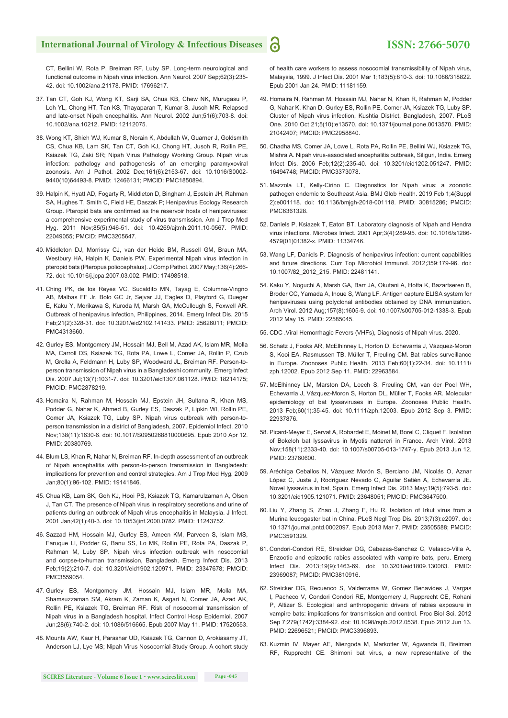CT, Bellini W, Rota P, Breiman RF, Luby SP. Long-term neurological and functional outcome in Nipah virus infection. Ann Neurol. 2007 Sep;62(3):235- 42. doi: 10.1002/ana.21178. PMID: 17696217.

- 37. Tan CT, Goh KJ, Wong KT, Sarji SA, Chua KB, Chew NK, Murugasu P, Loh YL, Chong HT, Tan KS, Thayaparan T, Kumar S, Jusoh MR. Relapsed and late-onset Nipah encephalitis. Ann Neurol. 2002 Jun;51(6):703-8. doi: 10.1002/ana.10212. PMID: 12112075.
- 38. Wong KT, Shieh WJ, Kumar S, Norain K, Abdullah W, Guarner J, Goldsmith CS, Chua KB, Lam SK, Tan CT, Goh KJ, Chong HT, Jusoh R, Rollin PE, Ksiazek TG, Zaki SR; Nipah Virus Pathology Working Group. Nipah virus infection: pathology and pathogenesis of an emerging paramyxoviral zoonosis. Am J Pathol. 2002 Dec;161(6):2153-67. doi: 10.1016/S0002- 9440(10)64493-8. PMID: 12466131; PMCID: PMC1850894.
- 39. Halpin K, Hyatt AD, Fogarty R, Middleton D, Bingham J, Epstein JH, Rahman SA, Hughes T, Smith C, Field HE, Daszak P; Henipavirus Ecology Research Group. Pteropid bats are confirmed as the reservoir hosts of henipaviruses: a comprehensive experimental study of virus transmission. Am J Trop Med Hyg. 2011 Nov;85(5):946-51. doi: 10.4269/ajtmh.2011.10-0567. PMID: 22049055; PMCID: PMC3205647.
- 40. Middleton DJ, Morrissy CJ, van der Heide BM, Russell GM, Braun MA, Westbury HA, Halpin K, Daniels PW. Experimental Nipah virus infection in pteropid bats (Pteropus poliocephalus). J Comp Pathol. 2007 May;136(4):266- 72. doi: 10.1016/j.jcpa.2007.03.002. PMID: 17498518.
- 41. Ching PK, de los Reyes VC, Sucaldito MN, Tayag E, Columna-Vingno AB, Malbas FF Jr, Bolo GC Jr, Sejvar JJ, Eagles D, Playford G, Dueger E, Kaku Y, Morikawa S, Kuroda M, Marsh GA, McCullough S, Foxwell AR. Outbreak of henipavirus infection, Philippines, 2014. Emerg Infect Dis. 2015 Feb;21(2):328-31. doi: 10.3201/eid2102.141433. PMID: 25626011; PMCID: PMC4313660.
- 42. Gurley ES, Montgomery JM, Hossain MJ, Bell M, Azad AK, Islam MR, Molla MA, Carroll DS, Ksiazek TG, Rota PA, Lowe L, Comer JA, Rollin P, Czub M, Grolla A, Feldmann H, Luby SP, Woodward JL, Breiman RF. Person-toperson transmission of Nipah virus in a Bangladeshi community. Emerg Infect Dis. 2007 Jul;13(7):1031-7. doi: 10.3201/eid1307.061128. PMID: 18214175; PMCID: PMC2878219.
- 43. Homaira N, Rahman M, Hossain MJ, Epstein JH, Sultana R, Khan MS, Podder G, Nahar K, Ahmed B, Gurley ES, Daszak P, Lipkin WI, Rollin PE, Comer JA, Ksiazek TG, Luby SP. Nipah virus outbreak with person-toperson transmission in a district of Bangladesh, 2007. Epidemiol Infect. 2010 Nov;138(11):1630-6. doi: 10.1017/S0950268810000695. Epub 2010 Apr 12. PMID: 20380769.
- 44. Blum LS, Khan R, Nahar N, Breiman RF. In-depth assessment of an outbreak of Nipah encephalitis with person-to-person transmission in Bangladesh: implications for prevention and control strategies. Am J Trop Med Hyg. 2009 Jan;80(1):96-102. PMID: 19141846.
- 45. Chua KB, Lam SK, Goh KJ, Hooi PS, Ksiazek TG, Kamarulzaman A, Olson J, Tan CT. The presence of Nipah virus in respiratory secretions and urine of patients during an outbreak of Nipah virus encephalitis in Malaysia. J Infect. 2001 Jan;42(1):40-3. doi: 10.1053/jinf.2000.0782. PMID: 11243752.
- 46. Sazzad HM, Hossain MJ, Gurley ES, Ameen KM, Parveen S, Islam MS, Faruque LI, Podder G, Banu SS, Lo MK, Rollin PE, Rota PA, Daszak P, Rahman M, Luby SP. Nipah virus infection outbreak with nosocomial and corpse-to-human transmission, Bangladesh. Emerg Infect Dis. 2013 Feb;19(2):210-7. doi: 10.3201/eid1902.120971. PMID: 23347678; PMCID: PMC3559054.
- 47. Gurley ES, Montgomery JM, Hossain MJ, Islam MR, Molla MA, Shamsuzzaman SM, Akram K, Zaman K, Asgari N, Comer JA, Azad AK, Rollin PE, Ksiazek TG, Breiman RF. Risk of nosocomial transmission of Nipah virus in a Bangladesh hospital. Infect Control Hosp Epidemiol. 2007 Jun;28(6):740-2. doi: 10.1086/516665. Epub 2007 May 11. PMID: 17520553.
- 48. Mounts AW, Kaur H, Parashar UD, Ksiazek TG, Cannon D, Arokiasamy JT, Anderson LJ, Lye MS; Nipah Virus Nosocomial Study Group. A cohort study

of health care workers to assess nosocomial transmissibility of Nipah virus, Malaysia, 1999. J Infect Dis. 2001 Mar 1;183(5):810-3. doi: 10.1086/318822. Epub 2001 Jan 24. PMID: 11181159.

- 49. Homaira N, Rahman M, Hossain MJ, Nahar N, Khan R, Rahman M, Podder G, Nahar K, Khan D, Gurley ES, Rollin PE, Comer JA, Ksiazek TG, Luby SP. Cluster of Nipah virus infection, Kushtia District, Bangladesh, 2007. PLoS One. 2010 Oct 21;5(10):e13570. doi: 10.1371/journal.pone.0013570. PMID: 21042407; PMCID: PMC2958840.
- 50. Chadha MS, Comer JA, Lowe L, Rota PA, Rollin PE, Bellini WJ, Ksiazek TG, Mishra A. Nipah virus-associated encephalitis outbreak, Siliguri, India. Emerg Infect Dis. 2006 Feb;12(2):235-40. doi: 10.3201/eid1202.051247. PMID: 16494748; PMCID: PMC3373078.
- 51. Mazzola LT, Kelly-Cirino C. Diagnostics for Nipah virus: a zoonotic pathogen endemic to Southeast Asia. BMJ Glob Health. 2019 Feb 1;4(Suppl 2):e001118. doi: 10.1136/bmjgh-2018-001118. PMID: 30815286; PMCID: PMC6361328.
- 52. Daniels P, Ksiazek T, Eaton BT. Laboratory diagnosis of Nipah and Hendra virus infections. Microbes Infect. 2001 Apr;3(4):289-95. doi: 10.1016/s1286- 4579(01)01382-x. PMID: 11334746.
- 53. Wang LF, Daniels P. Diagnosis of henipavirus infection: current capabilities and future directions. Curr Top Microbiol Immunol. 2012;359:179-96. doi: 10.1007/82\_2012\_215. PMID: 22481141.
- 54. Kaku Y, Noguchi A, Marsh GA, Barr JA, Okutani A, Hotta K, Bazartseren B, Broder CC, Yamada A, Inoue S, Wang LF. Antigen capture ELISA system for henipaviruses using polyclonal antibodies obtained by DNA immunization. Arch Virol. 2012 Aug;157(8):1605-9. doi: 10.1007/s00705-012-1338-3. Epub 2012 May 15. PMID: 22585045.
- 55. CDC .Viral Hemorrhagic Fevers (VHFs), Diagnosis of Nipah virus. 2020.
- 56. Schatz J, Fooks AR, McElhinney L, Horton D, Echevarria J, Vázquez-Moron S, Kooi EA, Rasmussen TB, Müller T, Freuling CM. Bat rabies surveillance in Europe. Zoonoses Public Health. 2013 Feb;60(1):22-34. doi: 10.1111/ zph.12002. Epub 2012 Sep 11. PMID: 22963584.
- 57. McElhinney LM, Marston DA, Leech S, Freuling CM, van der Poel WH, Echevarria J, Vázquez-Moron S, Horton DL, Müller T, Fooks AR. Molecular epidemiology of bat lyssaviruses in Europe. Zoonoses Public Health. 2013 Feb;60(1):35-45. doi: 10.1111/zph.12003. Epub 2012 Sep 3. PMID: 22937876.
- 58. Picard-Meyer E, Servat A, Robardet E, Moinet M, Borel C, Cliquet F. Isolation of Bokeloh bat lyssavirus in Myotis nattereri in France. Arch Virol. 2013 Nov;158(11):2333-40. doi: 10.1007/s00705-013-1747-y. Epub 2013 Jun 12. PMID: 23760600.
- 59. Aréchiga Ceballos N, Vázquez Morón S, Berciano JM, Nicolás O, Aznar López C, Juste J, Rodríguez Nevado C, Aguilar Setién A, Echevarría JE. Novel lyssavirus in bat, Spain. Emerg Infect Dis. 2013 May;19(5):793-5. doi: 10.3201/eid1905.121071. PMID: 23648051; PMCID: PMC3647500.
- 60. Liu Y, Zhang S, Zhao J, Zhang F, Hu R. Isolation of Irkut virus from a Murina leucogaster bat in China. PLoS Negl Trop Dis. 2013;7(3):e2097. doi: 10.1371/journal.pntd.0002097. Epub 2013 Mar 7. PMID: 23505588; PMCID: PMC3591329.
- 61. Condori-Condori RE, Streicker DG, Cabezas-Sanchez C, Velasco-Villa A. Enzootic and epizootic rabies associated with vampire bats, peru. Emerg Infect Dis. 2013;19(9):1463-69. doi: 10.3201/eid1809.130083. PMID: 23969087; PMCID: PMC3810916.
- 62. Streicker DG, Recuenco S, Valderrama W, Gomez Benavides J, Vargas I, Pacheco V, Condori Condori RE, Montgomery J, Rupprecht CE, Rohani P, Altizer S. Ecological and anthropogenic drivers of rabies exposure in vampire bats: implications for transmission and control. Proc Biol Sci. 2012 Sep 7;279(1742):3384-92. doi: 10.1098/rspb.2012.0538. Epub 2012 Jun 13. PMID: 22696521; PMCID: PMC3396893.
- 63. Kuzmin IV, Mayer AE, Niezgoda M, Markotter W, Agwanda B, Breiman RF, Rupprecht CE. Shimoni bat virus, a new representative of the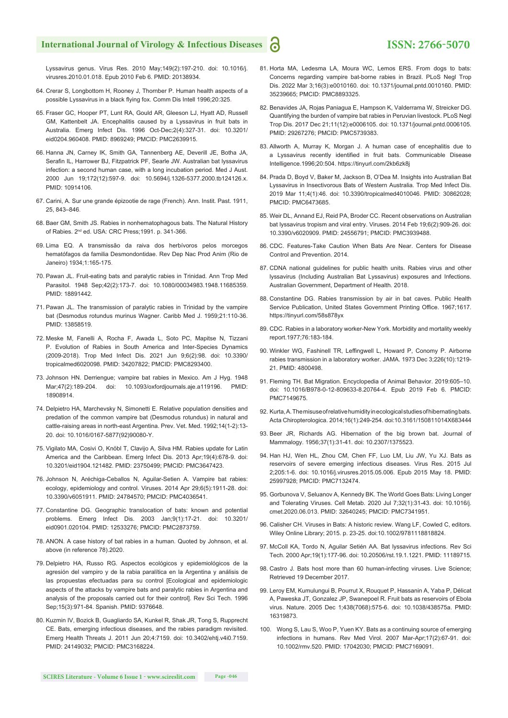## **International Journal of Virology & Infectious Diseases**

## **ISSN: 2766-5070**

Lyssavirus genus. Virus Res. 2010 May;149(2):197-210. doi: 10.1016/j. virusres.2010.01.018. Epub 2010 Feb 6. PMID: 20138934.

- 64. Crerar S, Longbottom H, Rooney J, Thornber P. Human health aspects of a possible Lyssavirus in a black flying fox. Comm Dis Intell 1996;20:325.
- 65. Fraser GC, Hooper PT, Lunt RA, Gould AR, Gleeson LJ, Hyatt AD, Russell GM, Kattenbelt JA. Encephalitis caused by a Lyssavirus in fruit bats in Australia. Emerg Infect Dis. 1996 Oct-Dec;2(4):327-31. doi: 10.3201/ eid0204.960408. PMID: 8969249; PMCID: PMC2639915.
- 66. Hanna JN, Carney IK, Smith GA, Tannenberg AE, Deverill JE, Botha JA, Serafin IL, Harrower BJ, Fitzpatrick PF, Searle JW. Australian bat lyssavirus infection: a second human case, with a long incubation period. Med J Aust. 2000 Jun 19;172(12):597-9. doi: 10.5694/j.1326-5377.2000.tb124126.x. PMID: 10914106.
- 67. Carini, A. Sur une grande épizootie de rage (French). Ann. Instit. Past. 1911, 25, 843–846.
- 68. Baer GM, Smith JS. Rabies in nonhematophagous bats. The Natural History of Rabies. 2nd ed. USA: CRC Press;1991. p. 341-366.
- 69. Lima EQ. A transmissão da raiva dos herbívoros pelos morcegos hematófagos da familia Desmondontidae. Rev Dep Nac Prod Anim (Rio de Janeiro) 1934;1:165-175.
- 70. Pawan JL. Fruit-eating bats and paralytic rabies in Trinidad. Ann Trop Med Parasitol. 1948 Sep;42(2):173-7. doi: 10.1080/00034983.1948.11685359. PMID: 18891442.
- 71. Pawan JL. The transmission of paralytic rabies in Trinidad by the vampire bat (Desmodus rotundus murinus Wagner. Caribb Med J. 1959;21:110-36. PMID: 13858519.
- 72. Meske M, Fanelli A, Rocha F, Awada L, Soto PC, Mapitse N, Tizzani P. Evolution of Rabies in South America and Inter-Species Dynamics (2009-2018). Trop Med Infect Dis. 2021 Jun 9;6(2):98. doi: 10.3390/ tropicalmed6020098. PMID: 34207822; PMCID: PMC8293400.
- 73. Johnson HN. Derriengue; vampire bat rabies in Mexico. Am J Hyg. 1948 Mar;47(2):189-204. doi: 10.1093/oxfordjournals.aje.a119196. PMID: 18908914.
- 74. Delpietro HA, Marchevsky N, Simonetti E. Relative population densities and predation of the common vampire bat (Desmodus rotundus) in natural and cattle-raising areas in north-east Argentina. Prev. Vet. Med. 1992;14(1-2):13- 20. doi: 10.1016/0167-5877(92)90080-Y.
- 75. Vigilato MA, Cosivi O, Knöbl T, Clavijo A, Silva HM. Rabies update for Latin America and the Caribbean. Emerg Infect Dis. 2013 Apr;19(4):678-9. doi: 10.3201/eid1904.121482. PMID: 23750499; PMCID: PMC3647423.
- 76. Johnson N, Aréchiga-Ceballos N, Aguilar-Setien A. Vampire bat rabies: ecology, epidemiology and control. Viruses. 2014 Apr 29;6(5):1911-28. doi: 10.3390/v6051911. PMID: 24784570; PMCID: PMC4036541.
- 77. Constantine DG. Geographic translocation of bats: known and potential problems. Emerg Infect Dis. 2003 Jan;9(1):17-21. doi: 10.3201/ eid0901.020104. PMID: 12533276; PMCID: PMC2873759.
- 78. ANON. A case history of bat rabies in a human. Quoted by Johnson, et al. above (in reference 78).2020.
- 79. Delpietro HA, Russo RG. Aspectos ecológicos y epidemiológicos de la agresión del vampiro y de la rabia paralítica en la Argentina y análisis de las propuestas efectuadas para su control [Ecological and epidemiologic aspects of the attacks by vampire bats and paralytic rabies in Argentina and analysis of the proposals carried out for their control]. Rev Sci Tech. 1996 Sep;15(3):971-84. Spanish. PMID: 9376648.
- 80. Kuzmin IV, Bozick B, Guagliardo SA, Kunkel R, Shak JR, Tong S, Rupprecht CE. Bats, emerging infectious diseases, and the rabies paradigm revisited. Emerg Health Threats J. 2011 Jun 20;4:7159. doi: 10.3402/ehtj.v4i0.7159. PMID: 24149032; PMCID: PMC3168224.
- 81. Horta MA, Ledesma LA, Moura WC, Lemos ERS. From dogs to bats: Concerns regarding vampire bat-borne rabies in Brazil. PLoS Negl Trop Dis. 2022 Mar 3;16(3):e0010160. doi: 10.1371/journal.pntd.0010160. PMID: 35239665; PMCID: PMC8893325.
- 82. Benavides JA, Rojas Paniagua E, Hampson K, Valderrama W, Streicker DG. Quantifying the burden of vampire bat rabies in Peruvian livestock. PLoS Negl Trop Dis. 2017 Dec 21;11(12):e0006105. doi: 10.1371/journal.pntd.0006105. PMID: 29267276; PMCID: PMC5739383.
- 83. Allworth A, Murray K, Morgan J. A human case of encephalitis due to a Lyssavirus recently identified in fruit bats. Communicable Disease Intelligence.1996;20:504. https://tinyurl.com/2kb6zk8j
- 84. Prada D, Boyd V, Baker M, Jackson B, O'Dea M. Insights into Australian Bat Lyssavirus in Insectivorous Bats of Western Australia. Trop Med Infect Dis. 2019 Mar 11;4(1):46. doi: 10.3390/tropicalmed4010046. PMID: 30862028; PMCID: PMC6473685.
- 85. Weir DL, Annand EJ, Reid PA, Broder CC. Recent observations on Australian bat lyssavirus tropism and viral entry. Viruses. 2014 Feb 19;6(2):909-26. doi: 10.3390/v6020909. PMID: 24556791; PMCID: PMC3939488.
- 86. CDC. Features-Take Caution When Bats Are Near. Centers for Disease Control and Prevention. 2014.
- 87. CDNA national guidelines for public health units. Rabies virus and other lyssavirus (Including Australian Bat Lyssavirus) exposures and Infections. Australian Government, Department of Health. 2018.
- 88. Constantine DG. Rabies transmission by air in bat caves. Public Health Service Publication, United States Government Printing Office. 1967;1617. https://tinyurl.com/58s878yx
- 89. CDC. Rabies in a laboratory worker-New York. Morbidity and mortality weekly report.1977;76:183-184.
- 90. Winkler WG, Fashinell TR, Leffingwell L, Howard P, Conomy P. Airborne rabies transmission in a laboratory worker. JAMA. 1973 Dec 3;226(10):1219- 21. PMID: 4800498.
- 91. Fleming TH. Bat Migration. Encyclopedia of Animal Behavior. 2019:605–10. doi: 10.1016/B978-0-12-809633-8.20764-4. Epub 2019 Feb 6. PMCID: PMC7149675.
- 92. Kurta, A. The misuse of relative humidity in ecological studies of hibernating bats. Acta Chiropterologica. 2014;16(1):249-254. doi:10.3161/150811014X683444
- 93. Beer JR, Richards AG. Hibernation of the big brown bat. Journal of Mammalogy. 1956;37(1):31-41. doi: 10.2307/1375523.
- 94. Han HJ, Wen HL, Zhou CM, Chen FF, Luo LM, Liu JW, Yu XJ. Bats as reservoirs of severe emerging infectious diseases. Virus Res. 2015 Jul 2;205:1-6. doi: 10.1016/j.virusres.2015.05.006. Epub 2015 May 18. PMID: 25997928; PMCID: PMC7132474.
- 95. Gorbunova V, Seluanov A, Kennedy BK. The World Goes Bats: Living Longer and Tolerating Viruses. Cell Metab. 2020 Jul 7;32(1):31-43. doi: 10.1016/j. cmet.2020.06.013. PMID: 32640245; PMCID: PMC7341951.
- 96. Calisher CH. Viruses in Bats: A historic review. Wang LF, Cowled C, editors. Wiley Online Library; 2015. p. 23-25. doi:10.1002/9781118818824.
- 97. McColl KA, Tordo N, Aguilar Setién AA. Bat lyssavirus infections. Rev Sci Tech. 2000 Apr;19(1):177-96. doi: 10.20506/rst.19.1.1221. PMID: 11189715.
- 98. Castro J. Bats host more than 60 human-infecting viruses. Live Science; Retrieved 19 December 2017.
- 99. Leroy EM, Kumulungui B, Pourrut X, Rouquet P, Hassanin A, Yaba P, Délicat A, Paweska JT, Gonzalez JP, Swanepoel R. Fruit bats as reservoirs of Ebola virus. Nature. 2005 Dec 1;438(7068):575-6. doi: 10.1038/438575a. PMID: 16319873.
- 100. Wong S, Lau S, Woo P, Yuen KY. Bats as a continuing source of emerging infections in humans. Rev Med Virol. 2007 Mar-Apr;17(2):67-91. doi: 10.1002/rmv.520. PMID: 17042030; PMCID: PMC7169091.